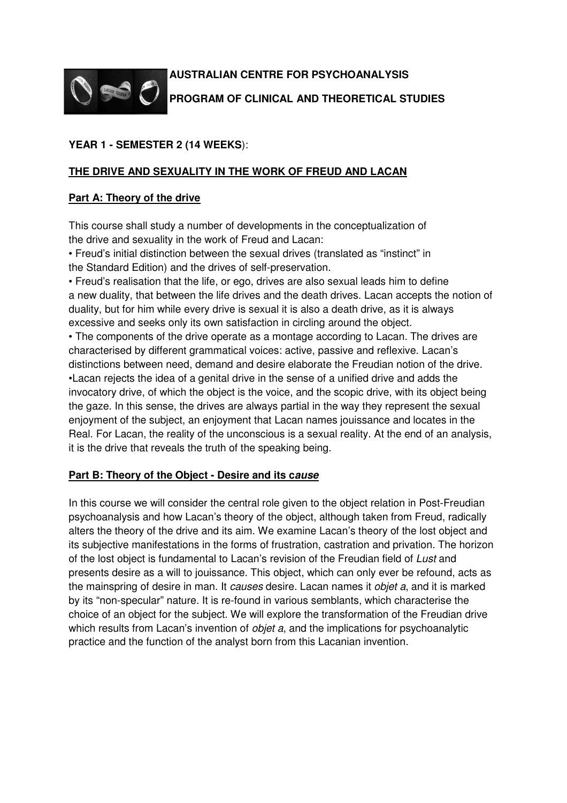

# **AUSTRALIAN CENTRE FOR PSYCHOANALYSIS PROGRAM OF CLINICAL AND THEORETICAL STUDIES**

# **YEAR 1 - SEMESTER 2 (14 WEEKS**):

# **THE DRIVE AND SEXUALITY IN THE WORK OF FREUD AND LACAN**

## **Part A: Theory of the drive**

This course shall study a number of developments in the conceptualization of the drive and sexuality in the work of Freud and Lacan:

• Freud's initial distinction between the sexual drives (translated as "instinct" in the Standard Edition) and the drives of self-preservation.

• Freud's realisation that the life, or ego, drives are also sexual leads him to define a new duality, that between the life drives and the death drives. Lacan accepts the notion of duality, but for him while every drive is sexual it is also a death drive, as it is always excessive and seeks only its own satisfaction in circling around the object.

• The components of the drive operate as a montage according to Lacan. The drives are characterised by different grammatical voices: active, passive and reflexive. Lacan's distinctions between need, demand and desire elaborate the Freudian notion of the drive. •Lacan rejects the idea of a genital drive in the sense of a unified drive and adds the invocatory drive, of which the object is the voice, and the scopic drive, with its object being the gaze. In this sense, the drives are always partial in the way they represent the sexual enjoyment of the subject, an enjoyment that Lacan names jouissance and locates in the Real. For Lacan, the reality of the unconscious is a sexual reality. At the end of an analysis, it is the drive that reveals the truth of the speaking being.

### **Part B: Theory of the Object - Desire and its cause**

In this course we will consider the central role given to the object relation in Post-Freudian psychoanalysis and how Lacan's theory of the object, although taken from Freud, radically alters the theory of the drive and its aim. We examine Lacan's theory of the lost object and its subjective manifestations in the forms of frustration, castration and privation. The horizon of the lost object is fundamental to Lacan's revision of the Freudian field of Lust and presents desire as a will to jouissance. This object, which can only ever be refound, acts as the mainspring of desire in man. It causes desire. Lacan names it *objet a*, and it is marked by its "non-specular" nature. It is re-found in various semblants, which characterise the choice of an object for the subject. We will explore the transformation of the Freudian drive which results from Lacan's invention of *objet a*, and the implications for psychoanalytic practice and the function of the analyst born from this Lacanian invention.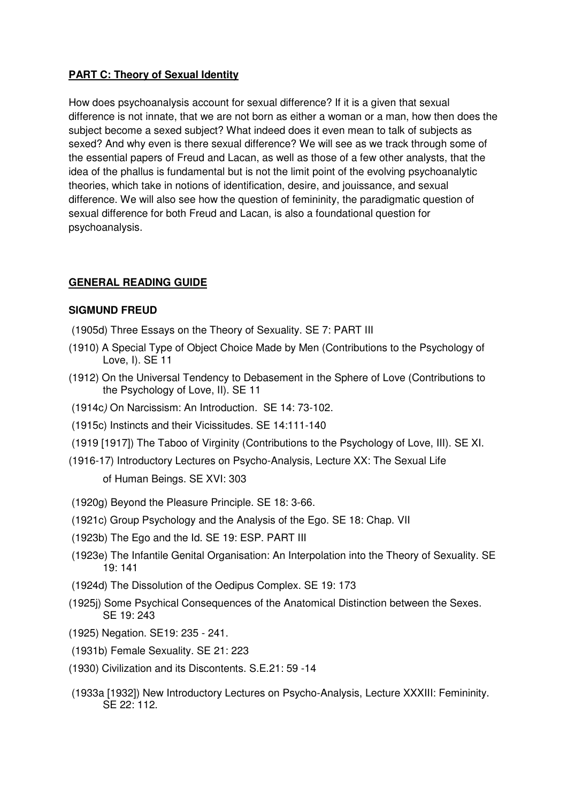# **PART C: Theory of Sexual Identity**

How does psychoanalysis account for sexual difference? If it is a given that sexual difference is not innate, that we are not born as either a woman or a man, how then does the subject become a sexed subject? What indeed does it even mean to talk of subjects as sexed? And why even is there sexual difference? We will see as we track through some of the essential papers of Freud and Lacan, as well as those of a few other analysts, that the idea of the phallus is fundamental but is not the limit point of the evolving psychoanalytic theories, which take in notions of identification, desire, and jouissance, and sexual difference. We will also see how the question of femininity, the paradigmatic question of sexual difference for both Freud and Lacan, is also a foundational question for psychoanalysis.

## **GENERAL READING GUIDE**

### **SIGMUND FREUD**

- (1905d) Three Essays on the Theory of Sexuality. SE 7: PART III
- (1910) A Special Type of Object Choice Made by Men (Contributions to the Psychology of Love, I). SE 11
- (1912) On the Universal Tendency to Debasement in the Sphere of Love (Contributions to the Psychology of Love, II). SE 11
- (1914c) On Narcissism: An Introduction. SE 14: 73-102.
- (1915c) Instincts and their Vicissitudes. SE 14:111-140
- (1919 [1917]) The Taboo of Virginity (Contributions to the Psychology of Love, III). SE XI.
- (1916-17) Introductory Lectures on Psycho-Analysis, Lecture XX: The Sexual Life of Human Beings. SE XVI: 303
- (1920g) Beyond the Pleasure Principle. SE 18: 3-66.
- (1921c) Group Psychology and the Analysis of the Ego. SE 18: Chap. VII
- (1923b) The Ego and the Id. SE 19: ESP. PART III
- (1923e) The Infantile Genital Organisation: An Interpolation into the Theory of Sexuality. SE 19: 141
- (1924d) The Dissolution of the Oedipus Complex. SE 19: 173
- (1925j) Some Psychical Consequences of the Anatomical Distinction between the Sexes. SE 19: 243
- (1925) Negation. SE19: 235 241.
- (1931b) Female Sexuality. SE 21: 223
- (1930) Civilization and its Discontents. S.E.21: 59 -14
- (1933a [1932]) New Introductory Lectures on Psycho-Analysis, Lecture XXXIII: Femininity. SE 22: 112.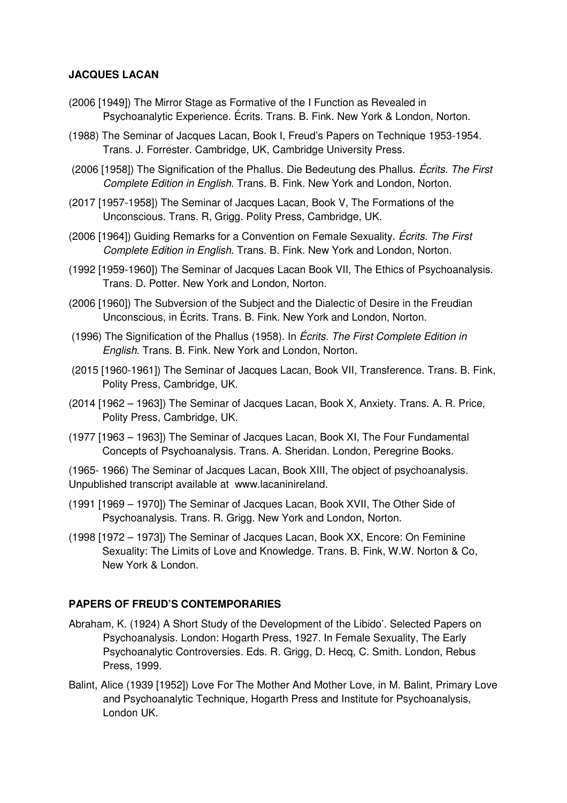## **JACQUES LACAN**

- (2006 [1949]) The Mirror Stage as Formative of the I Function as Revealed in Psychoanalytic Experience. Écrits. Trans. B. Fink. New York & London, Norton.
- (1988) The Seminar of Jacques Lacan, Book I, Freud's Papers on Technique 1953-1954. Trans. J. Forrester. Cambridge, UK, Cambridge University Press.
- (2006 [1958]) The Signification of the Phallus. Die Bedeutung des Phallus. *Écrits. The First* Complete Edition in English. Trans. B. Fink. New York and London, Norton.
- (2017 [1957-1958]) The Seminar of Jacques Lacan, Book V, The Formations of the Unconscious. Trans. R, Grigg. Polity Press, Cambridge, UK.
- (2006 [1964]) Guiding Remarks for a Convention on Female Sexuality. Écrits. The First Complete Edition in English. Trans. B. Fink. New York and London, Norton.
- (1992 [1959-1960]) The Seminar of Jacques Lacan Book VII, The Ethics of Psychoanalysis. Trans. D. Potter. New York and London, Norton.
- (2006 [1960]) The Subversion of the Subject and the Dialectic of Desire in the Freudian Unconscious, in Écrits. Trans. B. Fink. New York and London, Norton.
- (1996) The Signification of the Phallus (1958). In Écrits. The First Complete Edition in English. Trans. B. Fink. New York and London, Norton.
- (2015 [1960-1961]) The Seminar of Jacques Lacan, Book VII, Transference. Trans. B. Fink, Polity Press, Cambridge, UK.
- (2014 [1962 1963]) The Seminar of Jacques Lacan, Book X, Anxiety. Trans. A. R. Price, Polity Press, Cambridge, UK.
- (1977 [1963 1963]) The Seminar of Jacques Lacan, Book XI, The Four Fundamental Concepts of Psychoanalysis. Trans. A. Sheridan. London, Peregrine Books.

(1965- 1966) The Seminar of Jacques Lacan, Book XIII, The object of psychoanalysis. Unpublished transcript available at www.lacaninireland.

- (1991 [1969 1970]) The Seminar of Jacques Lacan, Book XVII, The Other Side of Psychoanalysis. Trans. R. Grigg. New York and London, Norton.
- (1998 [1972 1973]) The Seminar of Jacques Lacan, Book XX, Encore: On Feminine Sexuality: The Limits of Love and Knowledge. Trans. B. Fink, W.W. Norton & Co, New York & London.

### **PAPERS OF FREUD'S CONTEMPORARIES**

- Abraham, K. (1924) A Short Study of the Development of the Libido'. Selected Papers on Psychoanalysis. London: Hogarth Press, 1927. In Female Sexuality, The Early Psychoanalytic Controversies. Eds. R. Grigg, D. Hecq, C. Smith. London, Rebus Press, 1999.
- Balint, Alice (1939 [1952]) Love For The Mother And Mother Love, in M. Balint, Primary Love and Psychoanalytic Technique, Hogarth Press and Institute for Psychoanalysis, London UK.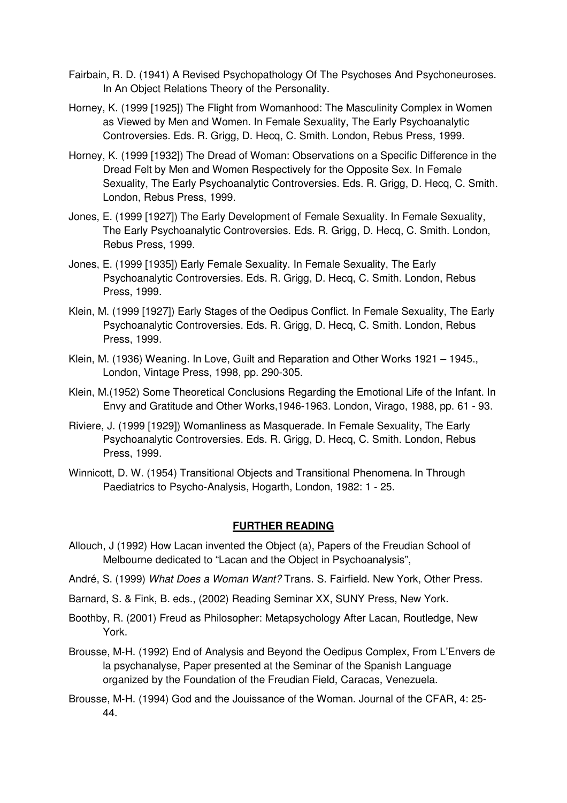- Fairbain, R. D. (1941) A Revised Psychopathology Of The Psychoses And Psychoneuroses. In An Object Relations Theory of the Personality.
- Horney, K. (1999 [1925]) The Flight from Womanhood: The Masculinity Complex in Women as Viewed by Men and Women. In Female Sexuality, The Early Psychoanalytic Controversies. Eds. R. Grigg, D. Hecq, C. Smith. London, Rebus Press, 1999.
- Horney, K. (1999 [1932]) The Dread of Woman: Observations on a Specific Difference in the Dread Felt by Men and Women Respectively for the Opposite Sex. In Female Sexuality, The Early Psychoanalytic Controversies. Eds. R. Grigg, D. Hecq, C. Smith. London, Rebus Press, 1999.
- Jones, E. (1999 [1927]) The Early Development of Female Sexuality. In Female Sexuality, The Early Psychoanalytic Controversies. Eds. R. Grigg, D. Hecq, C. Smith. London, Rebus Press, 1999.
- Jones, E. (1999 [1935]) Early Female Sexuality. In Female Sexuality, The Early Psychoanalytic Controversies. Eds. R. Grigg, D. Hecq, C. Smith. London, Rebus Press, 1999.
- Klein, M. (1999 [1927]) Early Stages of the Oedipus Conflict. In Female Sexuality, The Early Psychoanalytic Controversies. Eds. R. Grigg, D. Hecq, C. Smith. London, Rebus Press, 1999.
- Klein, M. (1936) Weaning. In Love, Guilt and Reparation and Other Works 1921 1945., London, Vintage Press, 1998, pp. 290-305.
- Klein, M.(1952) Some Theoretical Conclusions Regarding the Emotional Life of the Infant. In Envy and Gratitude and Other Works,1946-1963. London, Virago, 1988, pp. 61 - 93.
- Riviere, J. (1999 [1929]) Womanliness as Masquerade. In Female Sexuality, The Early Psychoanalytic Controversies. Eds. R. Grigg, D. Hecq, C. Smith. London, Rebus Press, 1999.
- Winnicott, D. W. (1954) Transitional Objects and Transitional Phenomena. In Through Paediatrics to Psycho-Analysis, Hogarth, London, 1982: 1 - 25.

### **FURTHER READING**

- Allouch, J (1992) How Lacan invented the Object (a), Papers of the Freudian School of Melbourne dedicated to "Lacan and the Object in Psychoanalysis",
- André, S. (1999) What Does a Woman Want? Trans. S. Fairfield. New York, Other Press.
- Barnard, S. & Fink, B. eds., (2002) Reading Seminar XX, SUNY Press, New York.
- Boothby, R. (2001) Freud as Philosopher: Metapsychology After Lacan, Routledge, New York.
- Brousse, M-H. (1992) End of Analysis and Beyond the Oedipus Complex, From L'Envers de la psychanalyse, Paper presented at the Seminar of the Spanish Language organized by the Foundation of the Freudian Field, Caracas, Venezuela.
- Brousse, M-H. (1994) God and the Jouissance of the Woman. Journal of the CFAR, 4: 25- 44.